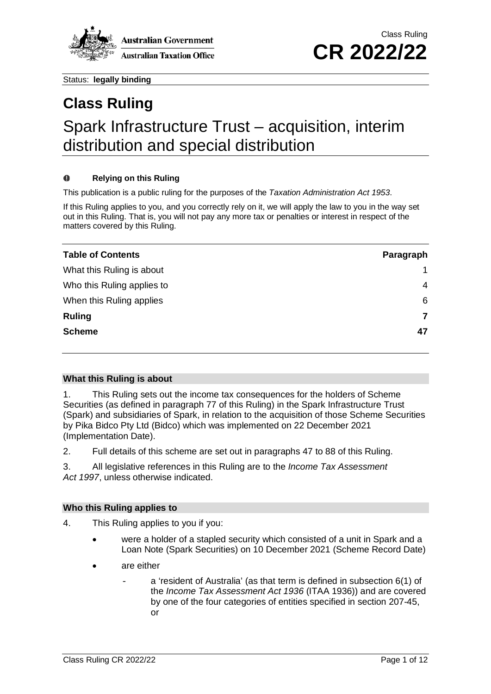

# **Class Ruling** Spark Infrastructure Trust – acquisition, interim distribution and special distribution

#### $\bf{0}$ **Relying on this Ruling**

This publication is a public ruling for the purposes of the *Taxation Administration Act 1953*.

If this Ruling applies to you, and you correctly rely on it, we will apply the law to you in the way set out in this Ruling. That is, you will not pay any more tax or penalties or interest in respect of the matters covered by this Ruling.

| <b>Table of Contents</b>   | Paragraph      |
|----------------------------|----------------|
| What this Ruling is about  |                |
| Who this Ruling applies to | 4              |
| When this Ruling applies   | 6              |
| <b>Ruling</b>              | $\overline{7}$ |
| <b>Scheme</b>              | 47             |

### **What this Ruling is about**

<span id="page-0-0"></span>1. This Ruling sets out the income tax consequences for the holders of Scheme Securities (as defined in paragraph [77](#page-8-0) of this Ruling) in the Spark Infrastructure Trust (Spark) and subsidiaries of Spark, in relation to the acquisition of those Scheme Securities by Pika Bidco Pty Ltd (Bidco) which was implemented on 22 December 2021 (Implementation Date).

2. Full details of this scheme are set out in paragraphs [47](#page-6-0) to [88](#page-9-0) of this Ruling.

3. All legislative references in this Ruling are to the *Income Tax Assessment Act 1997*, unless otherwise indicated.

### **Who this Ruling applies to**

- <span id="page-0-1"></span>4. This Ruling applies to you if you:
	- were a holder of a stapled security which consisted of a unit in Spark and a Loan Note (Spark Securities) on 10 December 2021 (Scheme Record Date)
	- are either
		- a 'resident of Australia' (as that term is defined in subsection 6(1) of the *Income Tax Assessment Act 1936* (ITAA 1936)) and are covered by one of the four categories of entities specified in section 207-45, or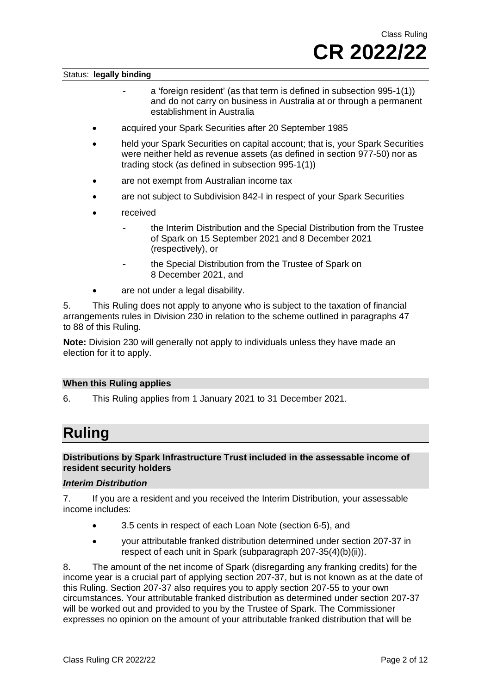- a 'foreign resident' (as that term is defined in subsection 995-1(1)) and do not carry on business in Australia at or through a permanent establishment in Australia
- acquired your Spark Securities after 20 September 1985
- held your Spark Securities on capital account; that is, your Spark Securities were neither held as revenue assets (as defined in section 977-50) nor as trading stock (as defined in subsection 995-1(1))
- are not exempt from Australian income tax
- are not subject to Subdivision 842-I in respect of your Spark Securities
- received
	- the Interim Distribution and the Special Distribution from the Trustee of Spark on 15 September 2021 and 8 December 2021 (respectively), or
	- the Special Distribution from the Trustee of Spark on 8 December 2021, and
- are not under a legal disability.

5. This Ruling does not apply to anyone who is subject to the taxation of financial arrangements rules in Division 230 in relation to the scheme outlined in paragraphs [47](#page-6-0) to [88](#page-9-0) of this Ruling.

**Note:** Division 230 will generally not apply to individuals unless they have made an election for it to apply.

#### **When this Ruling applies**

<span id="page-1-0"></span>6. This Ruling applies from 1 January 2021 to 31 December 2021.

## **Ruling**

#### **Distributions by Spark Infrastructure Trust included in the assessable income of resident security holders**

#### *Interim Distribution*

<span id="page-1-1"></span>7. If you are a resident and you received the Interim Distribution, your assessable income includes:

- 3.5 cents in respect of each Loan Note (section 6-5), and
- your attributable franked distribution determined under section 207-37 in respect of each unit in Spark (subparagraph 207-35(4)(b)(ii)).

8. The amount of the net income of Spark (disregarding any franking credits) for the income year is a crucial part of applying section 207-37, but is not known as at the date of this Ruling. Section 207-37 also requires you to apply section 207-55 to your own circumstances. Your attributable franked distribution as determined under section 207-37 will be worked out and provided to you by the Trustee of Spark. The Commissioner expresses no opinion on the amount of your attributable franked distribution that will be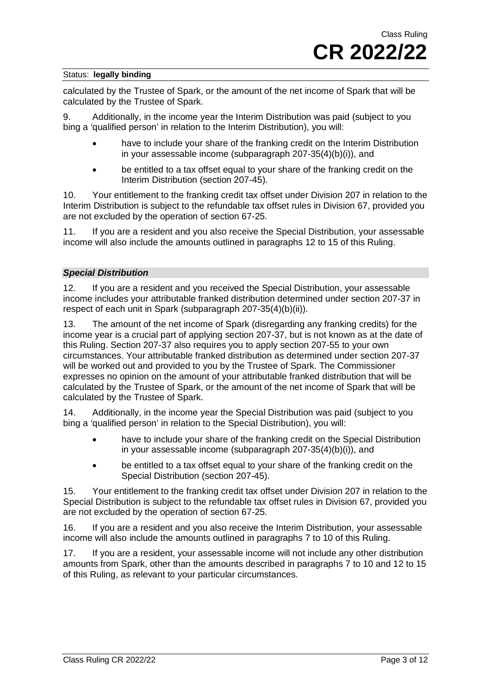calculated by the Trustee of Spark, or the amount of the net income of Spark that will be calculated by the Trustee of Spark.

9. Additionally, in the income year the Interim Distribution was paid (subject to you bing a 'qualified person' in relation to the Interim Distribution), you will:

- have to include your share of the franking credit on the Interim Distribution in your assessable income (subparagraph 207-35(4)(b)(i)), and
- be entitled to a tax offset equal to your share of the franking credit on the Interim Distribution (section 207-45).

10. Your entitlement to the franking credit tax offset under Division 207 in relation to the Interim Distribution is subject to the refundable tax offset rules in Division 67, provided you are not excluded by the operation of section 67-25.

11. If you are a resident and you also receive the Special Distribution, your assessable income will also include the amounts outlined in paragraphs [12](#page-2-0) to [15](#page-2-1) of this Ruling.

#### *Special Distribution*

<span id="page-2-0"></span>12. If you are a resident and you received the Special Distribution, your assessable income includes your attributable franked distribution determined under section 207-37 in respect of each unit in Spark (subparagraph 207-35(4)(b)(ii)).

13. The amount of the net income of Spark (disregarding any franking credits) for the income year is a crucial part of applying section 207-37, but is not known as at the date of this Ruling. Section 207-37 also requires you to apply section 207-55 to your own circumstances. Your attributable franked distribution as determined under section 207-37 will be worked out and provided to you by the Trustee of Spark. The Commissioner expresses no opinion on the amount of your attributable franked distribution that will be calculated by the Trustee of Spark, or the amount of the net income of Spark that will be calculated by the Trustee of Spark.

14. Additionally, in the income year the Special Distribution was paid (subject to you bing a 'qualified person' in relation to the Special Distribution), you will:

- have to include your share of the franking credit on the Special Distribution in your assessable income (subparagraph 207-35(4)(b)(i)), and
- be entitled to a tax offset equal to your share of the franking credit on the Special Distribution (section 207-45).

<span id="page-2-1"></span>15. Your entitlement to the franking credit tax offset under Division 207 in relation to the Special Distribution is subject to the refundable tax offset rules in Division 67, provided you are not excluded by the operation of section 67-25.

16. If you are a resident and you also receive the Interim Distribution, your assessable income will also include the amounts outlined in paragraphs [7](#page-1-1) to 10 of this Ruling.

17. If you are a resident, your assessable income will not include any other distribution amounts from Spark, other than the amounts described in paragraphs 7 to 10 and 12 to 15 of this Ruling, as relevant to your particular circumstances.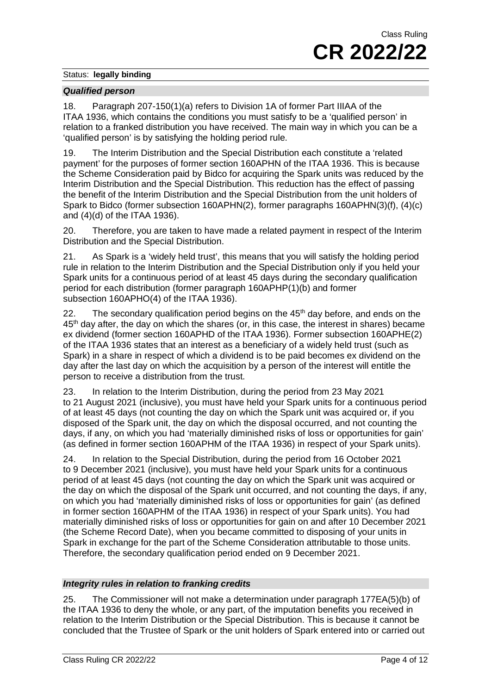#### *Qualified person*

18. Paragraph 207-150(1)(a) refers to Division 1A of former Part IIIAA of the ITAA 1936, which contains the conditions you must satisfy to be a 'qualified person' in relation to a franked distribution you have received. The main way in which you can be a 'qualified person' is by satisfying the holding period rule.

19. The Interim Distribution and the Special Distribution each constitute a 'related payment' for the purposes of former section 160APHN of the ITAA 1936. This is because the Scheme Consideration paid by Bidco for acquiring the Spark units was reduced by the Interim Distribution and the Special Distribution. This reduction has the effect of passing the benefit of the Interim Distribution and the Special Distribution from the unit holders of Spark to Bidco (former subsection 160APHN(2), former paragraphs 160APHN(3)(f), (4)(c) and (4)(d) of the ITAA 1936).

20. Therefore, you are taken to have made a related payment in respect of the Interim Distribution and the Special Distribution.

21. As Spark is a 'widely held trust', this means that you will satisfy the holding period rule in relation to the Interim Distribution and the Special Distribution only if you held your Spark units for a continuous period of at least 45 days during the secondary qualification period for each distribution (former paragraph 160APHP(1)(b) and former subsection 160APHO(4) of the ITAA 1936).

22. The secondary qualification period begins on the  $45<sup>th</sup>$  day before, and ends on the 45<sup>th</sup> day after, the day on which the shares (or, in this case, the interest in shares) became ex dividend (former section 160APHD of the ITAA 1936). Former subsection 160APHE(2) of the ITAA 1936 states that an interest as a beneficiary of a widely held trust (such as Spark) in a share in respect of which a dividend is to be paid becomes ex dividend on the day after the last day on which the acquisition by a person of the interest will entitle the person to receive a distribution from the trust.

23. In relation to the Interim Distribution, during the period from 23 May 2021 to 21 August 2021 (inclusive), you must have held your Spark units for a continuous period of at least 45 days (not counting the day on which the Spark unit was acquired or, if you disposed of the Spark unit, the day on which the disposal occurred, and not counting the days, if any, on which you had 'materially diminished risks of loss or opportunities for gain' (as defined in former section 160APHM of the ITAA 1936) in respect of your Spark units).

24. In relation to the Special Distribution, during the period from 16 October 2021 to 9 December 2021 (inclusive), you must have held your Spark units for a continuous period of at least 45 days (not counting the day on which the Spark unit was acquired or the day on which the disposal of the Spark unit occurred, and not counting the days, if any, on which you had 'materially diminished risks of loss or opportunities for gain' (as defined in former section 160APHM of the ITAA 1936) in respect of your Spark units). You had materially diminished risks of loss or opportunities for gain on and after 10 December 2021 (the Scheme Record Date), when you became committed to disposing of your units in Spark in exchange for the part of the Scheme Consideration attributable to those units. Therefore, the secondary qualification period ended on 9 December 2021.

### *Integrity rules in relation to franking credits*

25. The Commissioner will not make a determination under paragraph 177EA(5)(b) of the ITAA 1936 to deny the whole, or any part, of the imputation benefits you received in relation to the Interim Distribution or the Special Distribution. This is because it cannot be concluded that the Trustee of Spark or the unit holders of Spark entered into or carried out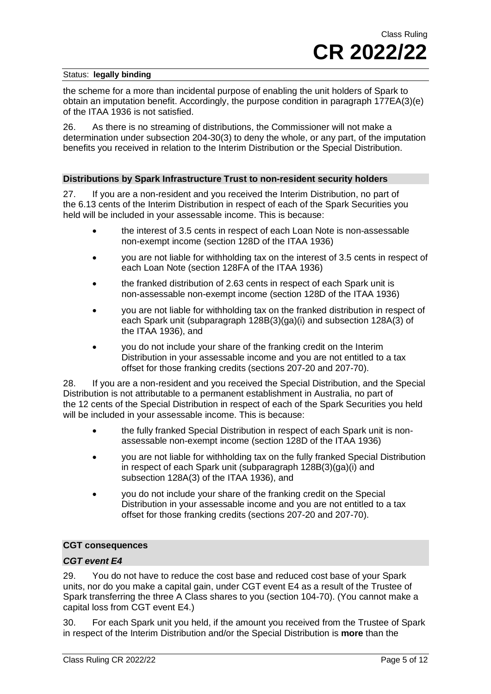the scheme for a more than incidental purpose of enabling the unit holders of Spark to obtain an imputation benefit. Accordingly, the purpose condition in paragraph 177EA(3)(e) of the ITAA 1936 is not satisfied.

26. As there is no streaming of distributions, the Commissioner will not make a determination under subsection 204-30(3) to deny the whole, or any part, of the imputation benefits you received in relation to the Interim Distribution or the Special Distribution.

#### **Distributions by Spark Infrastructure Trust to non-resident security holders**

27. If you are a non-resident and you received the Interim Distribution, no part of the 6.13 cents of the Interim Distribution in respect of each of the Spark Securities you held will be included in your assessable income. This is because:

- the interest of 3.5 cents in respect of each Loan Note is non-assessable non-exempt income (section 128D of the ITAA 1936)
- you are not liable for withholding tax on the interest of 3.5 cents in respect of each Loan Note (section 128FA of the ITAA 1936)
- the franked distribution of 2.63 cents in respect of each Spark unit is non-assessable non-exempt income (section 128D of the ITAA 1936)
- you are not liable for withholding tax on the franked distribution in respect of each Spark unit (subparagraph 128B(3)(ga)(i) and subsection 128A(3) of the ITAA 1936), and
- you do not include your share of the franking credit on the Interim Distribution in your assessable income and you are not entitled to a tax offset for those franking credits (sections 207-20 and 207-70).

28. If you are a non-resident and you received the Special Distribution, and the Special Distribution is not attributable to a permanent establishment in Australia, no part of the 12 cents of the Special Distribution in respect of each of the Spark Securities you held will be included in your assessable income. This is because:

- the fully franked Special Distribution in respect of each Spark unit is nonassessable non-exempt income (section 128D of the ITAA 1936)
- you are not liable for withholding tax on the fully franked Special Distribution in respect of each Spark unit (subparagraph 128B(3)(ga)(i) and subsection 128A(3) of the ITAA 1936), and
- you do not include your share of the franking credit on the Special Distribution in your assessable income and you are not entitled to a tax offset for those franking credits (sections 207-20 and 207-70).

#### **CGT consequences**

### *CGT event E4*

29. You do not have to reduce the cost base and reduced cost base of your Spark units, nor do you make a capital gain, under CGT event E4 as a result of the Trustee of Spark transferring the three A Class shares to you (section 104-70). (You cannot make a capital loss from CGT event E4.)

30. For each Spark unit you held, if the amount you received from the Trustee of Spark in respect of the Interim Distribution and/or the Special Distribution is **more** than the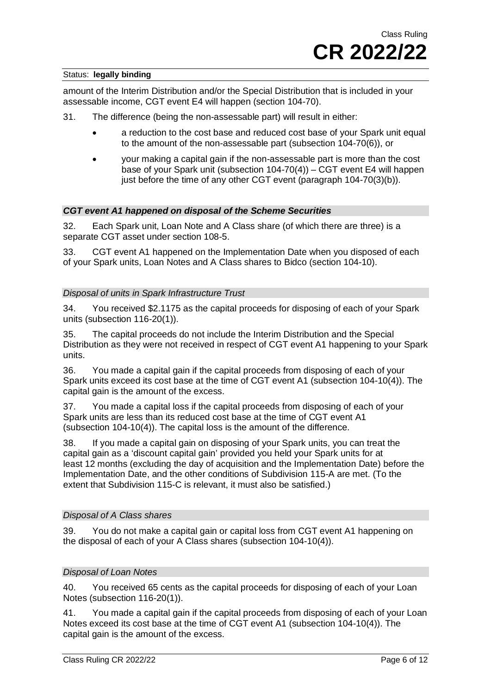amount of the Interim Distribution and/or the Special Distribution that is included in your assessable income, CGT event E4 will happen (section 104-70).

- 31. The difference (being the non-assessable part) will result in either:
	- a reduction to the cost base and reduced cost base of your Spark unit equal to the amount of the non-assessable part (subsection 104-70(6)), or
	- your making a capital gain if the non-assessable part is more than the cost base of your Spark unit (subsection 104-70(4)) – CGT event E4 will happen just before the time of any other CGT event (paragraph 104-70(3)(b)).

#### *CGT event A1 happened on disposal of the Scheme Securities*

32. Each Spark unit, Loan Note and A Class share (of which there are three) is a separate CGT asset under section 108-5.

33. CGT event A1 happened on the Implementation Date when you disposed of each of your Spark units, Loan Notes and A Class shares to Bidco (section 104-10).

#### *Disposal of units in Spark Infrastructure Trust*

34. You received \$2.1175 as the capital proceeds for disposing of each of your Spark units (subsection 116-20(1)).

35. The capital proceeds do not include the Interim Distribution and the Special Distribution as they were not received in respect of CGT event A1 happening to your Spark units.

36. You made a capital gain if the capital proceeds from disposing of each of your Spark units exceed its cost base at the time of CGT event A1 (subsection 104-10(4)). The capital gain is the amount of the excess.

37. You made a capital loss if the capital proceeds from disposing of each of your Spark units are less than its reduced cost base at the time of CGT event A1 (subsection 104-10(4)). The capital loss is the amount of the difference.

38. If you made a capital gain on disposing of your Spark units, you can treat the capital gain as a 'discount capital gain' provided you held your Spark units for at least 12 months (excluding the day of acquisition and the Implementation Date) before the Implementation Date, and the other conditions of Subdivision 115-A are met. (To the extent that Subdivision 115-C is relevant, it must also be satisfied.)

#### *Disposal of A Class shares*

39. You do not make a capital gain or capital loss from CGT event A1 happening on the disposal of each of your A Class shares (subsection 104-10(4)).

#### *Disposal of Loan Notes*

40. You received 65 cents as the capital proceeds for disposing of each of your Loan Notes (subsection 116-20(1)).

41. You made a capital gain if the capital proceeds from disposing of each of your Loan Notes exceed its cost base at the time of CGT event A1 (subsection 104-10(4)). The capital gain is the amount of the excess.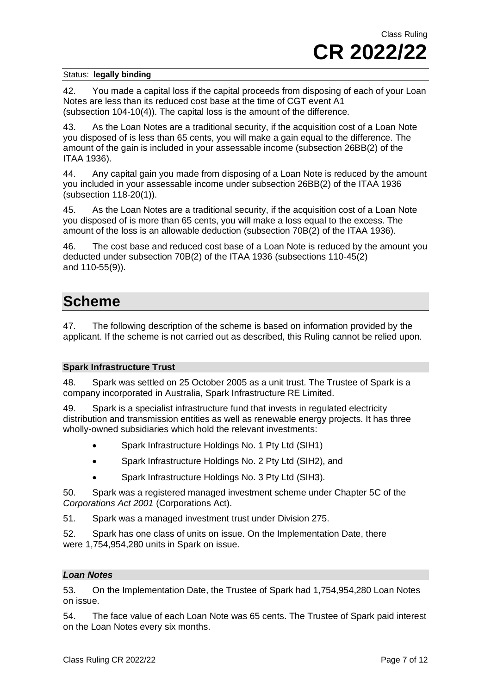42. You made a capital loss if the capital proceeds from disposing of each of your Loan Notes are less than its reduced cost base at the time of CGT event A1 (subsection 104-10(4)). The capital loss is the amount of the difference.

As the Loan Notes are a traditional security, if the acquisition cost of a Loan Note you disposed of is less than 65 cents, you will make a gain equal to the difference. The amount of the gain is included in your assessable income (subsection 26BB(2) of the ITAA 1936).

44. Any capital gain you made from disposing of a Loan Note is reduced by the amount you included in your assessable income under subsection 26BB(2) of the ITAA 1936 (subsection 118-20(1)).

45. As the Loan Notes are a traditional security, if the acquisition cost of a Loan Note you disposed of is more than 65 cents, you will make a loss equal to the excess. The amount of the loss is an allowable deduction (subsection 70B(2) of the ITAA 1936).

46. The cost base and reduced cost base of a Loan Note is reduced by the amount you deducted under subsection 70B(2) of the ITAA 1936 (subsections 110-45(2) and 110-55(9)).

### **Scheme**

<span id="page-6-0"></span>47. The following description of the scheme is based on information provided by the applicant. If the scheme is not carried out as described, this Ruling cannot be relied upon.

### **Spark Infrastructure Trust**

48. Spark was settled on 25 October 2005 as a unit trust. The Trustee of Spark is a company incorporated in Australia, Spark Infrastructure RE Limited.

49. Spark is a specialist infrastructure fund that invests in regulated electricity distribution and transmission entities as well as renewable energy projects. It has three wholly-owned subsidiaries which hold the relevant investments:

- Spark Infrastructure Holdings No. 1 Pty Ltd (SIH1)
- Spark Infrastructure Holdings No. 2 Pty Ltd (SIH2), and
- Spark Infrastructure Holdings No. 3 Pty Ltd (SIH3).

50. Spark was a registered managed investment scheme under Chapter 5C of the *Corporations Act 2001* (Corporations Act).

51. Spark was a managed investment trust under Division 275.

52. Spark has one class of units on issue. On the Implementation Date, there were 1,754,954,280 units in Spark on issue.

#### *Loan Notes*

53. On the Implementation Date, the Trustee of Spark had 1,754,954,280 Loan Notes on issue.

54. The face value of each Loan Note was 65 cents. The Trustee of Spark paid interest on the Loan Notes every six months.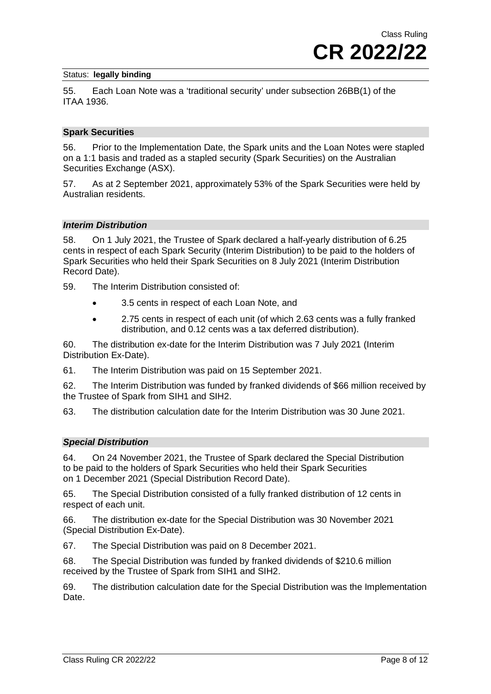55. Each Loan Note was a 'traditional security' under subsection 26BB(1) of the ITAA 1936.

#### **Spark Securities**

56. Prior to the Implementation Date, the Spark units and the Loan Notes were stapled on a 1:1 basis and traded as a stapled security (Spark Securities) on the Australian Securities Exchange (ASX).

57. As at 2 September 2021, approximately 53% of the Spark Securities were held by Australian residents.

#### *Interim Distribution*

58. On 1 July 2021, the Trustee of Spark declared a half-yearly distribution of 6.25 cents in respect of each Spark Security (Interim Distribution) to be paid to the holders of Spark Securities who held their Spark Securities on 8 July 2021 (Interim Distribution Record Date).

59. The Interim Distribution consisted of:

- 3.5 cents in respect of each Loan Note, and
- 2.75 cents in respect of each unit (of which 2.63 cents was a fully franked distribution, and 0.12 cents was a tax deferred distribution).

60. The distribution ex-date for the Interim Distribution was 7 July 2021 (Interim Distribution Ex-Date).

61. The Interim Distribution was paid on 15 September 2021.

62. The Interim Distribution was funded by franked dividends of \$66 million received by the Trustee of Spark from SIH1 and SIH2.

63. The distribution calculation date for the Interim Distribution was 30 June 2021.

#### *Special Distribution*

64. On 24 November 2021, the Trustee of Spark declared the Special Distribution to be paid to the holders of Spark Securities who held their Spark Securities on 1 December 2021 (Special Distribution Record Date).

65. The Special Distribution consisted of a fully franked distribution of 12 cents in respect of each unit.

66. The distribution ex-date for the Special Distribution was 30 November 2021 (Special Distribution Ex-Date).

67. The Special Distribution was paid on 8 December 2021.

68. The Special Distribution was funded by franked dividends of \$210.6 million received by the Trustee of Spark from SIH1 and SIH2.

69. The distribution calculation date for the Special Distribution was the Implementation Date.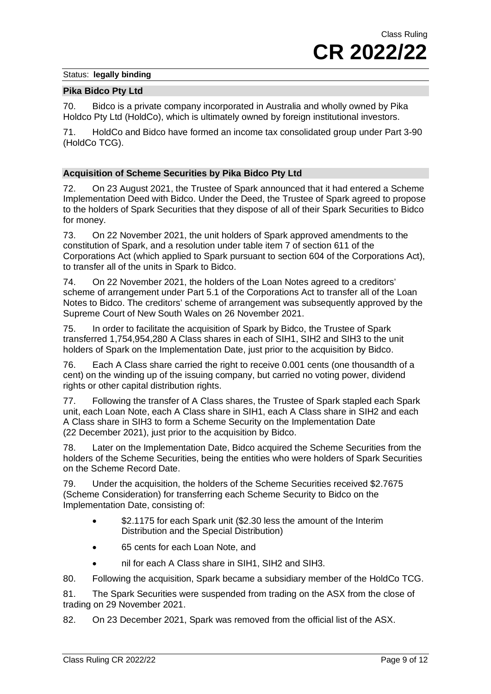#### **Pika Bidco Pty Ltd**

70. Bidco is a private company incorporated in Australia and wholly owned by Pika Holdco Pty Ltd (HoldCo), which is ultimately owned by foreign institutional investors.

71. HoldCo and Bidco have formed an income tax consolidated group under Part 3-90 (HoldCo TCG).

#### **Acquisition of Scheme Securities by Pika Bidco Pty Ltd**

72. On 23 August 2021, the Trustee of Spark announced that it had entered a Scheme Implementation Deed with Bidco. Under the Deed, the Trustee of Spark agreed to propose to the holders of Spark Securities that they dispose of all of their Spark Securities to Bidco for money.

73. On 22 November 2021, the unit holders of Spark approved amendments to the constitution of Spark, and a resolution under table item 7 of section 611 of the Corporations Act (which applied to Spark pursuant to section 604 of the Corporations Act), to transfer all of the units in Spark to Bidco.

74. On 22 November 2021, the holders of the Loan Notes agreed to a creditors' scheme of arrangement under Part 5.1 of the Corporations Act to transfer all of the Loan Notes to Bidco. The creditors' scheme of arrangement was subsequently approved by the Supreme Court of New South Wales on 26 November 2021.

75. In order to facilitate the acquisition of Spark by Bidco, the Trustee of Spark transferred 1,754,954,280 A Class shares in each of SIH1, SIH2 and SIH3 to the unit holders of Spark on the Implementation Date, just prior to the acquisition by Bidco.

76. Each A Class share carried the right to receive 0.001 cents (one thousandth of a cent) on the winding up of the issuing company, but carried no voting power, dividend rights or other capital distribution rights.

<span id="page-8-0"></span>77. Following the transfer of A Class shares, the Trustee of Spark stapled each Spark unit, each Loan Note, each A Class share in SIH1, each A Class share in SIH2 and each A Class share in SIH3 to form a Scheme Security on the Implementation Date (22 December 2021), just prior to the acquisition by Bidco.

78. Later on the Implementation Date, Bidco acquired the Scheme Securities from the holders of the Scheme Securities, being the entities who were holders of Spark Securities on the Scheme Record Date.

79. Under the acquisition, the holders of the Scheme Securities received \$2.7675 (Scheme Consideration) for transferring each Scheme Security to Bidco on the Implementation Date, consisting of:

- \$2.1175 for each Spark unit (\$2.30 less the amount of the Interim Distribution and the Special Distribution)
- 65 cents for each Loan Note, and
- nil for each A Class share in SIH1, SIH2 and SIH3.
- 80. Following the acquisition, Spark became a subsidiary member of the HoldCo TCG.

81. The Spark Securities were suspended from trading on the ASX from the close of trading on 29 November 2021.

82. On 23 December 2021, Spark was removed from the official list of the ASX.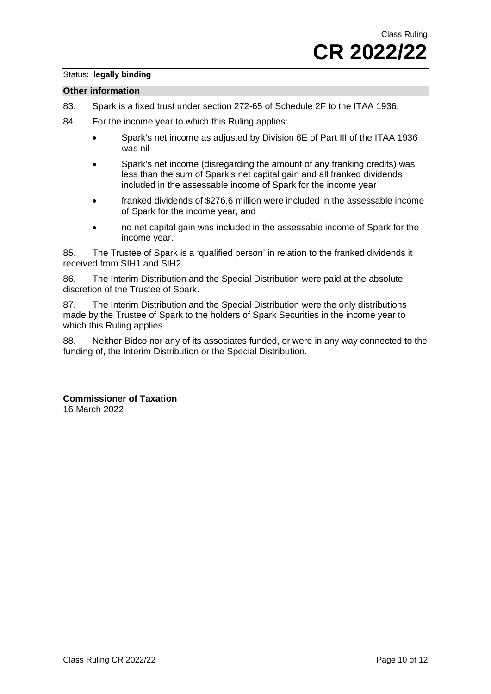#### **Other information**

- 83. Spark is a fixed trust under section 272-65 of Schedule 2F to the ITAA 1936.
- 84. For the income year to which this Ruling applies:
	- Spark's net income as adjusted by Division 6E of Part III of the ITAA 1936 was nil
	- Spark's net income (disregarding the amount of any franking credits) was less than the sum of Spark's net capital gain and all franked dividends included in the assessable income of Spark for the income year
	- franked dividends of \$276.6 million were included in the assessable income of Spark for the income year, and
	- no net capital gain was included in the assessable income of Spark for the income year.

85. The Trustee of Spark is a 'qualified person' in relation to the franked dividends it received from SIH1 and SIH2.

86. The Interim Distribution and the Special Distribution were paid at the absolute discretion of the Trustee of Spark.

87. The Interim Distribution and the Special Distribution were the only distributions made by the Trustee of Spark to the holders of Spark Securities in the income year to which this Ruling applies.

<span id="page-9-0"></span>88. Neither Bidco nor any of its associates funded, or were in any way connected to the funding of, the Interim Distribution or the Special Distribution.

**Commissioner of Taxation** 16 March 2022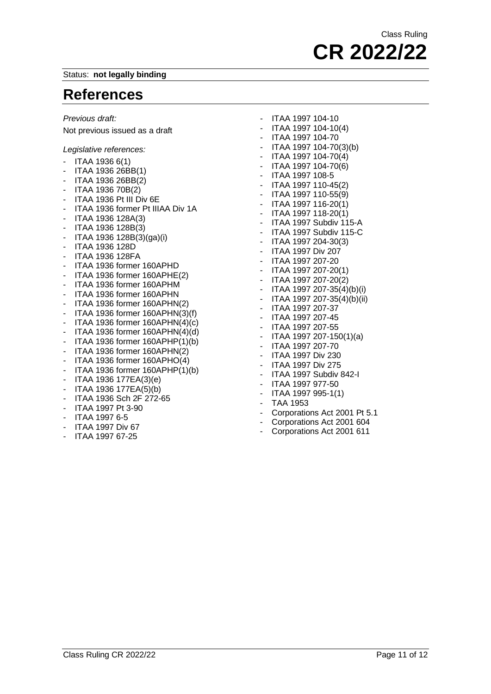### **References**

*Previous draft:*

Not previous issued as a draft

*Legislative references:*

- ITAA 1936 6(1)
- ITAA 1936 26BB(1)
- ITAA 1936 26BB(2)
- ITAA 1936 70B(2)
- ITAA 1936 Pt III Div 6E
- ITAA 1936 former Pt IIIAA Div 1A
- ITAA 1936 128A(3)
- ITAA 1936 128B(3)
- ITAA 1936 128B(3)(ga)(i)
- ITAA 1936 128D
- ITAA 1936 128FA
- ITAA 1936 former 160APHD
- ITAA 1936 former 160APHE(2)
- ITAA 1936 former 160APHM
- ITAA 1936 former 160APHN
- ITAA 1936 former 160APHN(2)
- ITAA 1936 former 160APHN(3)(f)
- ITAA 1936 former  $160APHN(4)(c)$
- ITAA 1936 former  $160APHN(4)(d)$ <br>- ITAA 1936 former  $160ADHPI(1)(h)$
- ITAA 1936 former 160APHP(1)(b)
- ITAA 1936 former 160APHN(2)
- ITAA 1936 former 160APHO(4)
- ITAA 1936 former 160APHP(1)(b)
- ITAA 1936 177EA(3)(e)
- ITAA 1936 177EA(5)(b)
- ITAA 1936 Sch 2F 272-65
- ITAA 1997 Pt 3-90
- ITAA 1997 6-5
- ITAA 1997 Div 67
- ITAA 1997 67-25

- ITAA 1997 104-10

- ITAA 1997 104-10(4)
- ITAA 1997 104-70
- ITAA 1997 104-70(3)(b)
- $-$  ITAA 1997 104-70(4)
- ITAA 1997 104-70(6)
- ITAA 1997 108-5
- ITAA 1997 110-45(2)
- ITAA 1997 110-55(9)
- ITAA 1997 116-20(1)
- ITAA 1997 118-20(1)
- ITAA 1997 Subdiv 115-A
- ITAA 1997 Subdiv 115-C
- ITAA 1997 204-30(3)
- ITAA 1997 Div 207
- ITAA 1997 207-20
- ITAA 1997 207-20(1)
- ITAA 1997 207-20(2)
- ITAA 1997 207-35(4)(b)(i)
- ITAA 1997 207-35(4)(b)(ii)
- ITAA 1997 207-37
- ITAA 1997 207-45
- ITAA 1997 207-55
- ITAA 1997 207-150(1)(a)
- ITAA 1997 207-70
- ITAA 1997 Div 230
- ITAA 1997 Div 275
- ITAA 1997 Subdiv 842-I
- ITAA 1997 977-50
- ITAA 1997 995-1(1)
- TAA 1953
- Corporations Act 2001 Pt 5.1<br>- Corporations Act 2001 604
- Corporations Act 2001 604
- Corporations Act 2001 611